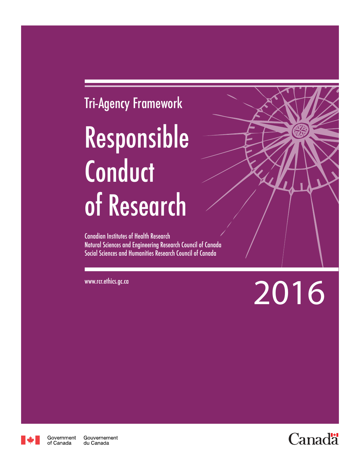# Tri-Agency Framework Responsible **Conduct** of Research

Canadian Institutes of Health Research Natural Sciences and Engineering Research Council of Canada Social Sciences and Humanities Research Council of Canada

www.rcr.ethics.gc.ca 2016



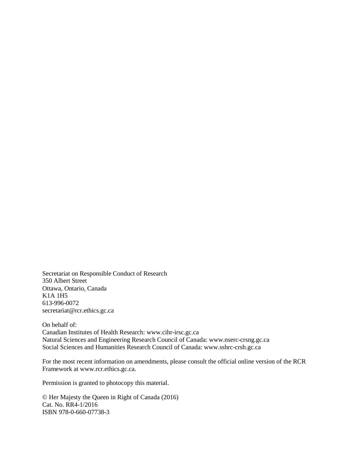Secretariat on Responsible Conduct of Research 350 Albert Street Ottawa, Ontario, Canada K1A 1H5 613-996-0072 secretariat@rcr.ethics.gc.ca

On behalf of: Canadian Institutes of Health Research: www.cihr-irsc.gc.ca Natural Sciences and Engineering Research Council of Canada: www.nserc-crsng.gc.ca Social Sciences and Humanities Research Council of Canada: www.sshrc-crsh.gc.ca

For the most recent information on amendments, please consult the official online version of the RCR Framework at www.rcr.ethics.gc.ca.

Permission is granted to photocopy this material.

© Her Majesty the Queen in Right of Canada (2016) Cat. No. RR4-1/2016 ISBN 978-0-660-07738-3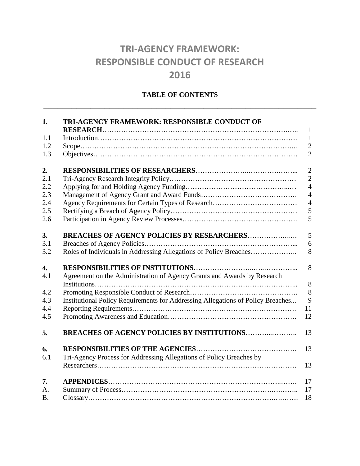# **TRI-AGENCY FRAMEWORK: RESPONSIBLE CONDUCT OF RESEARCH 2016**

# **TABLE OF CONTENTS \_\_\_\_\_\_\_\_\_\_\_\_\_\_\_\_\_\_\_\_\_\_\_\_\_\_\_\_\_\_\_\_\_\_\_\_\_\_\_\_\_\_\_\_\_\_\_\_\_\_\_\_\_\_\_\_\_\_**

| 1.               | TRI-AGENCY FRAMEWORK: RESPONSIBLE CONDUCT OF                                    | $\mathbf{1}$   |
|------------------|---------------------------------------------------------------------------------|----------------|
| 1.1              |                                                                                 | $\mathbf{1}$   |
| 1.2              |                                                                                 | $\sqrt{2}$     |
| 1.3              |                                                                                 | $\overline{2}$ |
| 2.               |                                                                                 | $\overline{2}$ |
| 2.1              |                                                                                 | $\overline{2}$ |
| 2.2              |                                                                                 | $\overline{4}$ |
| 2.3              |                                                                                 | $\overline{4}$ |
| 2.4              |                                                                                 | $\overline{4}$ |
| 2.5              |                                                                                 | 5              |
| 2.6              |                                                                                 | 5              |
| 3.               | <b>BREACHES OF AGENCY POLICIES BY RESEARCHERS</b>                               | 5              |
| 3.1              |                                                                                 | 6              |
| 3.2              | Roles of Individuals in Addressing Allegations of Policy Breaches               | 8              |
| $\overline{4}$ . |                                                                                 | 8              |
| 4.1              | Agreement on the Administration of Agency Grants and Awards by Research         | 8              |
| 4.2              |                                                                                 | 8              |
| 4.3              | Institutional Policy Requirements for Addressing Allegations of Policy Breaches | 9              |
| 4.4              |                                                                                 | 11             |
| 4.5              |                                                                                 | 12             |
| 5.               | <b>BREACHES OF AGENCY POLICIES BY INSTITUTIONS</b>                              | 13             |
| 6.               |                                                                                 | 13             |
| 6.1              | Tri-Agency Process for Addressing Allegations of Policy Breaches by             |                |
|                  |                                                                                 | 13             |
| 7.               |                                                                                 | 17             |
| A <sub>1</sub>   |                                                                                 | 17             |
| <b>B.</b>        |                                                                                 | 18             |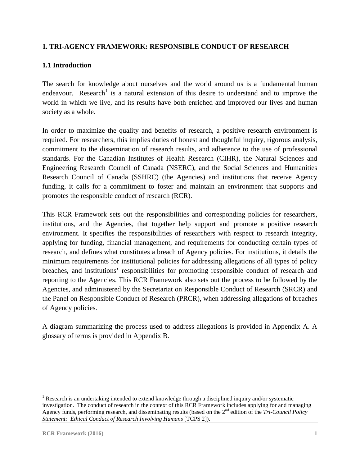#### **1. TRI-AGENCY FRAMEWORK: RESPONSIBLE CONDUCT OF RESEARCH**

#### **1.1 Introduction**

The search for knowledge about ourselves and the world around us is a fundamental human endeavour. Research<sup>[1](#page-4-0)</sup> is a natural extension of this desire to understand and to improve the world in which we live, and its results have both enriched and improved our lives and human society as a whole.

In order to maximize the quality and benefits of research, a positive research environment is required. For researchers, this implies duties of honest and thoughtful inquiry, rigorous analysis, commitment to the dissemination of research results, and adherence to the use of professional standards. For the Canadian Institutes of Health Research (CIHR), the Natural Sciences and Engineering Research Council of Canada (NSERC), and the Social Sciences and Humanities Research Council of Canada (SSHRC) (the Agencies) and institutions that receive Agency funding, it calls for a commitment to foster and maintain an environment that supports and promotes the responsible conduct of research (RCR).

This RCR Framework sets out the responsibilities and corresponding policies for researchers, institutions, and the Agencies, that together help support and promote a positive research environment. It specifies the responsibilities of researchers with respect to research integrity, applying for funding, financial management, and requirements for conducting certain types of research, and defines what constitutes a breach of Agency policies. For institutions, it details the minimum requirements for institutional policies for addressing allegations of all types of policy breaches, and institutions' responsibilities for promoting responsible conduct of research and reporting to the Agencies. This RCR Framework also sets out the process to be followed by the Agencies, and administered by the Secretariat on Responsible Conduct of Research (SRCR) and the Panel on Responsible Conduct of Research (PRCR), when addressing allegations of breaches of Agency policies.

A diagram summarizing the process used to address allegations is provided in Appendix A. A glossary of terms is provided in Appendix B.

<span id="page-4-0"></span><sup>&</sup>lt;sup>1</sup> Research is an undertaking intended to extend knowledge through a disciplined inquiry and/or systematic investigation. The conduct of research in the context of this RCR Framework includes applying for and managing Agency funds, performing research, and disseminating results (based on the 2nd edition of the *Tri-Council Policy Statement: Ethical Conduct of Research Involving Humans* [TCPS 2]).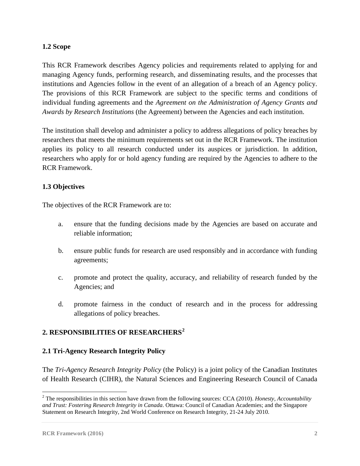# **1.2 Scope**

This RCR Framework describes Agency policies and requirements related to applying for and managing Agency funds, performing research, and disseminating results, and the processes that institutions and Agencies follow in the event of an allegation of a breach of an Agency policy. The provisions of this RCR Framework are subject to the specific terms and conditions of individual funding agreements and the *Agreement on the Administration of Agency Grants and Awards by Research Institutions* (the Agreement) between the Agencies and each institution.

The institution shall develop and administer a policy to address allegations of policy breaches by researchers that meets the minimum requirements set out in the RCR Framework. The institution applies its policy to all research conducted under its auspices or jurisdiction. In addition, researchers who apply for or hold agency funding are required by the Agencies to adhere to the RCR Framework.

# **1.3 Objectives**

The objectives of the RCR Framework are to:

- a. ensure that the funding decisions made by the Agencies are based on accurate and reliable information;
- b. ensure public funds for research are used responsibly and in accordance with funding agreements;
- c. promote and protect the quality, accuracy, and reliability of research funded by the Agencies; and
- d. promote fairness in the conduct of research and in the process for addressing allegations of policy breaches.

# **2. RESPONSIBILITIES OF RESEARCHERS[2](#page-5-0)**

# **2.1 Tri-Agency Research Integrity Policy**

The *Tri-Agency Research Integrity Policy* (the Policy) is a joint policy of the Canadian Institutes of Health Research (CIHR), the Natural Sciences and Engineering Research Council of Canada

<span id="page-5-0"></span> <sup>2</sup> The responsibilities in this section have drawn from the following sources: CCA (2010). *Honesty, Accountability and Trust: Fostering Research Integrity in Canada*. Ottawa: Council of Canadian Academies; and the Singapore Statement on Research Integrity, 2nd World Conference on Research Integrity, 21-24 July 2010.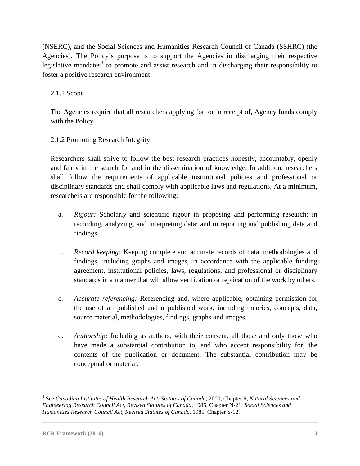(NSERC), and the Social Sciences and Humanities Research Council of Canada (SSHRC) (the Agencies). The Policy's purpose is to support the Agencies in discharging their respective legislative mandates<sup>[3](#page-6-0)</sup> to promote and assist research and in discharging their responsibility to foster a positive research environment.

# 2.1.1 Scope

The Agencies require that all researchers applying for, or in receipt of, Agency funds comply with the Policy.

# 2.1.2 Promoting Research Integrity

Researchers shall strive to follow the best research practices honestly, accountably, openly and fairly in the search for and in the dissemination of knowledge. In addition, researchers shall follow the requirements of applicable institutional policies and professional or disciplinary standards and shall comply with applicable laws and regulations. At a minimum, researchers are responsible for the following:

- a. *Rigour:* Scholarly and scientific rigour in proposing and performing research; in recording, analyzing, and interpreting data; and in reporting and publishing data and findings.
- b. *Record keeping:* Keeping complete and accurate records of data, methodologies and findings, including graphs and images, in accordance with the applicable funding agreement, institutional policies, laws, regulations, and professional or disciplinary standards in a manner that will allow verification or replication of the work by others.
- c. *Accurate referencing:* Referencing and, where applicable, obtaining permission for the use of all published and unpublished work, including theories, concepts, data, source material, methodologies, findings, graphs and images.
- d. *Authorship:* Including as authors, with their consent, all those and only those who have made a substantial contribution to, and who accept responsibility for, the contents of the publication or document. The substantial contribution may be conceptual or material.

<span id="page-6-0"></span> <sup>3</sup> See *Canadian Institutes of Health Research Act, Statutes of Canada*, 2000, Chapter 6; *Natural Sciences and Engineering Research Council Act*, *Revised Statutes of Canada,* 1985, Chapter N-21; *Social Sciences and Humanities Research Council Act*, *Revised Statutes of Canada,* 1985, Chapter S-12.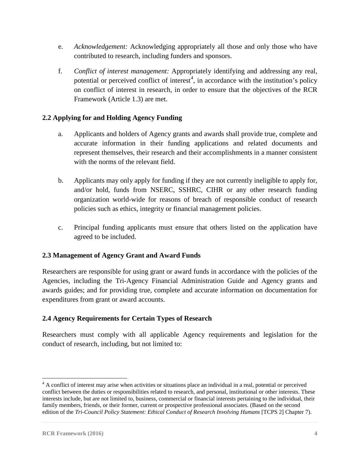- e. *Acknowledgement:* Acknowledging appropriately all those and only those who have contributed to research, including funders and sponsors.
- f. *Conflict of interest management:* Appropriately identifying and addressing any real, potential or perceived conflict of interest<sup>[4](#page-7-0)</sup>, in accordance with the institution's policy on conflict of interest in research, in order to ensure that the objectives of the RCR Framework (Article 1.3) are met.

# **2.2 Applying for and Holding Agency Funding**

- a. Applicants and holders of Agency grants and awards shall provide true, complete and accurate information in their funding applications and related documents and represent themselves, their research and their accomplishments in a manner consistent with the norms of the relevant field.
- b. Applicants may only apply for funding if they are not currently ineligible to apply for, and/or hold, funds from NSERC, SSHRC, CIHR or any other research funding organization world-wide for reasons of breach of responsible conduct of research policies such as ethics, integrity or financial management policies.
- c. Principal funding applicants must ensure that others listed on the application have agreed to be included.

# **2.3 Management of Agency Grant and Award Funds**

Researchers are responsible for using grant or award funds in accordance with the policies of the Agencies, including the Tri-Agency Financial Administration Guide and Agency grants and awards guides; and for providing true, complete and accurate information on documentation for expenditures from grant or award accounts.

# **2.4 Agency Requirements for Certain Types of Research**

Researchers must comply with all applicable Agency requirements and legislation for the conduct of research, including, but not limited to:

<span id="page-7-0"></span><sup>&</sup>lt;sup>4</sup> A conflict of interest may arise when activities or situations place an individual in a real, potential or perceived conflict between the duties or responsibilities related to research, and personal, institutional or other interests. These interests include, but are not limited to, business, commercial or financial interests pertaining to the individual, their family members, friends, or their former, current or prospective professional associates. (Based on the second edition of the *Tri-Council Policy Statement: Ethical Conduct of Research Involving Humans* [TCPS 2] Chapter 7).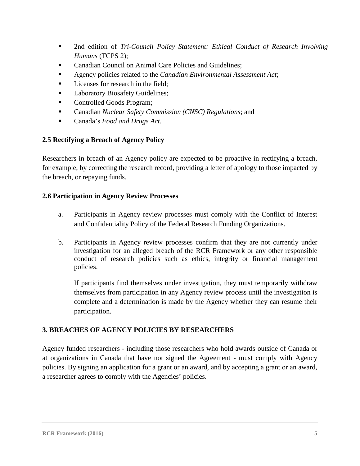- 2nd edition of *Tri-Council Policy Statement: Ethical Conduct of Research Involving Humans* (TCPS 2);
- Canadian Council on Animal Care Policies and Guidelines;
- Agency policies related to the *Canadian Environmental Assessment Act*;
- Licenses for research in the field;
- Laboratory Biosafety Guidelines;
- **Controlled Goods Program;**
- Canadian *Nuclear Safety Commission (CNSC) Regulations*; and
- Canada's *Food and Drugs Act*.

# **2.5 Rectifying a Breach of Agency Policy**

Researchers in breach of an Agency policy are expected to be proactive in rectifying a breach, for example, by correcting the research record, providing a letter of apology to those impacted by the breach, or repaying funds.

#### **2.6 Participation in Agency Review Processes**

- a. Participants in Agency review processes must comply with the Conflict of Interest and Confidentiality Policy of the Federal Research Funding Organizations.
- b. Participants in Agency review processes confirm that they are not currently under investigation for an alleged breach of the RCR Framework or any other responsible conduct of research policies such as ethics, integrity or financial management policies.

If participants find themselves under investigation, they must temporarily withdraw themselves from participation in any Agency review process until the investigation is complete and a determination is made by the Agency whether they can resume their participation.

# **3. BREACHES OF AGENCY POLICIES BY RESEARCHERS**

Agency funded researchers - including those researchers who hold awards outside of Canada or at organizations in Canada that have not signed the Agreement - must comply with Agency policies. By signing an application for a grant or an award, and by accepting a grant or an award, a researcher agrees to comply with the Agencies' policies.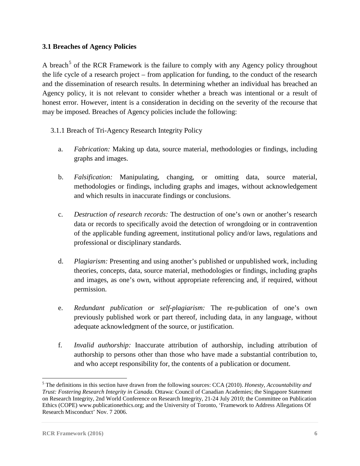# **3.1 Breaches of Agency Policies**

A breach<sup>[5](#page-9-0)</sup> of the RCR Framework is the failure to comply with any Agency policy throughout the life cycle of a research project – from application for funding, to the conduct of the research and the dissemination of research results. In determining whether an individual has breached an Agency policy, it is not relevant to consider whether a breach was intentional or a result of honest error. However, intent is a consideration in deciding on the severity of the recourse that may be imposed. Breaches of Agency policies include the following:

- 3.1.1 Breach of Tri-Agency Research Integrity Policy
	- a. *Fabrication:* Making up data, source material, methodologies or findings, including graphs and images.
	- b. *Falsification:* Manipulating, changing, or omitting data, source material, methodologies or findings, including graphs and images, without acknowledgement and which results in inaccurate findings or conclusions.
	- c. *Destruction of research records:* The destruction of one's own or another's research data or records to specifically avoid the detection of wrongdoing or in contravention of the applicable funding agreement, institutional policy and/or laws, regulations and professional or disciplinary standards.
	- d. *Plagiarism:* Presenting and using another's published or unpublished work, including theories, concepts, data, source material, methodologies or findings, including graphs and images, as one's own, without appropriate referencing and, if required, without permission.
	- e. *Redundant publication or self-plagiarism:* The re-publication of one's own previously published work or part thereof, including data, in any language, without adequate acknowledgment of the source, or justification.
	- f. *Invalid authorship:* Inaccurate attribution of authorship, including attribution of authorship to persons other than those who have made a substantial contribution to, and who accept responsibility for, the contents of a publication or document.

<span id="page-9-0"></span> <sup>5</sup> The definitions in this section have drawn from the following sources: CCA (2010). *Honesty, Accountability and Trust: Fostering Research Integrity in Canada*. Ottawa: Council of Canadian Academies; the Singapore Statement on Research Integrity, 2nd World Conference on Research Integrity, 21-24 July 2010; the Committee on Publication Ethics (COPE) www.publicationethics.org; and the University of Toronto, 'Framework to Address Allegations Of Research Misconduct' Nov. 7 2006.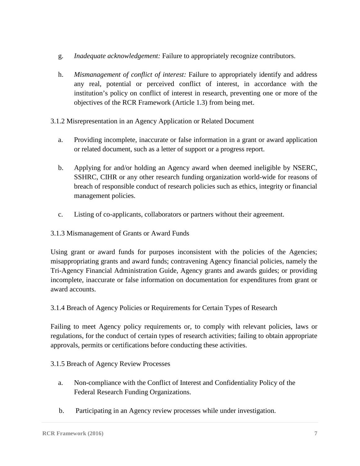- g. *Inadequate acknowledgement:* Failure to appropriately recognize contributors.
- h. *Mismanagement of conflict of interest:* Failure to appropriately identify and address any real, potential or perceived conflict of interest, in accordance with the institution's policy on conflict of interest in research, preventing one or more of the objectives of the RCR Framework (Article 1.3) from being met.
- 3.1.2 Misrepresentation in an Agency Application or Related Document
	- a. Providing incomplete, inaccurate or false information in a grant or award application or related document, such as a letter of support or a progress report.
	- b. Applying for and/or holding an Agency award when deemed ineligible by NSERC, SSHRC, CIHR or any other research funding organization world-wide for reasons of breach of responsible conduct of research policies such as ethics, integrity or financial management policies.
	- c. Listing of co-applicants, collaborators or partners without their agreement.

# 3.1.3 Mismanagement of Grants or Award Funds

Using grant or award funds for purposes inconsistent with the policies of the Agencies; misappropriating grants and award funds; contravening Agency financial policies, namely the Tri-Agency Financial Administration Guide, Agency grants and awards guides; or providing incomplete, inaccurate or false information on documentation for expenditures from grant or award accounts.

3.1.4 Breach of Agency Policies or Requirements for Certain Types of Research

Failing to meet Agency policy requirements or, to comply with relevant policies, laws or regulations, for the conduct of certain types of research activities; failing to obtain appropriate approvals, permits or certifications before conducting these activities.

# 3.1.5 Breach of Agency Review Processes

- a. Non-compliance with the Conflict of Interest and Confidentiality Policy of the Federal Research Funding Organizations.
- b. Participating in an Agency review processes while under investigation.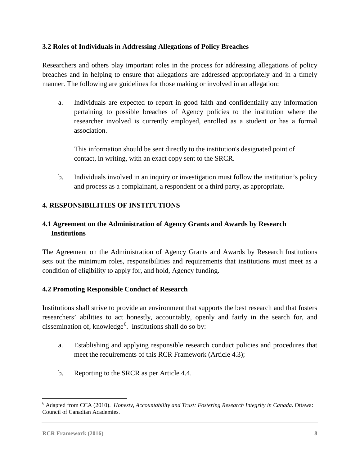# **3.2 Roles of Individuals in Addressing Allegations of Policy Breaches**

Researchers and others play important roles in the process for addressing allegations of policy breaches and in helping to ensure that allegations are addressed appropriately and in a timely manner. The following are guidelines for those making or involved in an allegation:

a. Individuals are expected to report in good faith and confidentially any information pertaining to possible breaches of Agency policies to the institution where the researcher involved is currently employed, enrolled as a student or has a formal association.

This information should be sent directly to the institution's designated point of contact, in writing, with an exact copy sent to the SRCR.

b. Individuals involved in an inquiry or investigation must follow the institution's policy and process as a complainant, a respondent or a third party, as appropriate.

# **4. RESPONSIBILITIES OF INSTITUTIONS**

# **4.1 Agreement on the Administration of Agency Grants and Awards by Research Institutions**

The Agreement on the Administration of Agency Grants and Awards by Research Institutions sets out the minimum roles, responsibilities and requirements that institutions must meet as a condition of eligibility to apply for, and hold, Agency funding.

# **4.2 Promoting Responsible Conduct of Research**

Institutions shall strive to provide an environment that supports the best research and that fosters researchers' abilities to act honestly, accountably, openly and fairly in the search for, and dissemination of, knowledge<sup>[6](#page-11-0)</sup>. Institutions shall do so by:

- a. Establishing and applying responsible research conduct policies and procedures that meet the requirements of this RCR Framework (Article 4.3);
- b. Reporting to the SRCR as per Article 4.4.

<span id="page-11-0"></span> <sup>6</sup> Adapted from CCA (2010). *Honesty, Accountability and Trust: Fostering Research Integrity in Canada*. Ottawa: Council of Canadian Academies.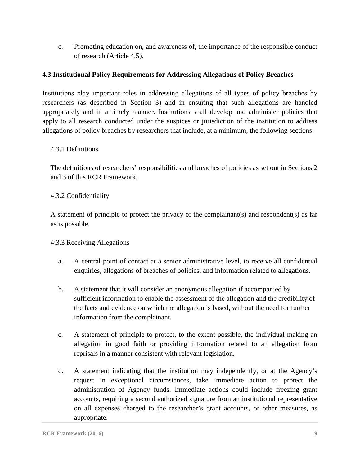c. Promoting education on, and awareness of, the importance of the responsible conduct of research (Article 4.5).

# **4.3 Institutional Policy Requirements for Addressing Allegations of Policy Breaches**

Institutions play important roles in addressing allegations of all types of policy breaches by researchers (as described in Section 3) and in ensuring that such allegations are handled appropriately and in a timely manner. Institutions shall develop and administer policies that apply to all research conducted under the auspices or jurisdiction of the institution to address allegations of policy breaches by researchers that include, at a minimum, the following sections:

# 4.3.1 Definitions

The definitions of researchers' responsibilities and breaches of policies as set out in Sections 2 and 3 of this RCR Framework.

# 4.3.2 Confidentiality

A statement of principle to protect the privacy of the complainant(s) and respondent(s) as far as is possible.

# 4.3.3 Receiving Allegations

- a. A central point of contact at a senior administrative level, to receive all confidential enquiries, allegations of breaches of policies, and information related to allegations.
- b. A statement that it will consider an anonymous allegation if accompanied by sufficient information to enable the assessment of the allegation and the credibility of the facts and evidence on which the allegation is based, without the need for further information from the complainant.
- c. A statement of principle to protect, to the extent possible, the individual making an allegation in good faith or providing information related to an allegation from reprisals in a manner consistent with relevant legislation.
- d. A statement indicating that the institution may independently, or at the Agency's request in exceptional circumstances, take immediate action to protect the administration of Agency funds. Immediate actions could include freezing grant accounts, requiring a second authorized signature from an institutional representative on all expenses charged to the researcher's grant accounts, or other measures, as appropriate.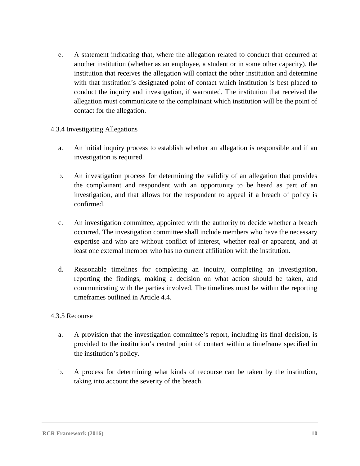e. A statement indicating that, where the allegation related to conduct that occurred at another institution (whether as an employee, a student or in some other capacity), the institution that receives the allegation will contact the other institution and determine with that institution's designated point of contact which institution is best placed to conduct the inquiry and investigation, if warranted. The institution that received the allegation must communicate to the complainant which institution will be the point of contact for the allegation.

# 4.3.4 Investigating Allegations

- a. An initial inquiry process to establish whether an allegation is responsible and if an investigation is required.
- b. An investigation process for determining the validity of an allegation that provides the complainant and respondent with an opportunity to be heard as part of an investigation, and that allows for the respondent to appeal if a breach of policy is confirmed.
- c. An investigation committee, appointed with the authority to decide whether a breach occurred. The investigation committee shall include members who have the necessary expertise and who are without conflict of interest, whether real or apparent, and at least one external member who has no current affiliation with the institution.
- d. Reasonable timelines for completing an inquiry, completing an investigation, reporting the findings, making a decision on what action should be taken, and communicating with the parties involved. The timelines must be within the reporting timeframes outlined in Article 4.4.

#### 4.3.5 Recourse

- a. A provision that the investigation committee's report, including its final decision, is provided to the institution's central point of contact within a timeframe specified in the institution's policy.
- b. A process for determining what kinds of recourse can be taken by the institution, taking into account the severity of the breach.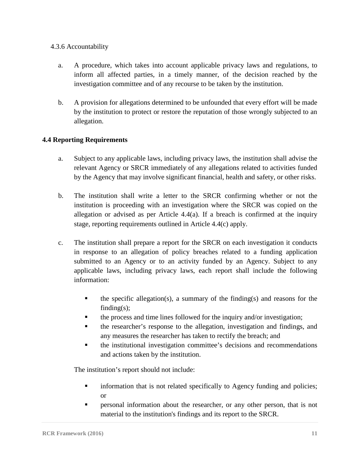# 4.3.6 Accountability

- a. A procedure, which takes into account applicable privacy laws and regulations, to inform all affected parties, in a timely manner, of the decision reached by the investigation committee and of any recourse to be taken by the institution.
- b. A provision for allegations determined to be unfounded that every effort will be made by the institution to protect or restore the reputation of those wrongly subjected to an allegation.

# **4.4 Reporting Requirements**

- a. Subject to any applicable laws, including privacy laws, the institution shall advise the relevant Agency or SRCR immediately of any allegations related to activities funded by the Agency that may involve significant financial, health and safety, or other risks.
- b. The institution shall write a letter to the SRCR confirming whether or not the institution is proceeding with an investigation where the SRCR was copied on the allegation or advised as per Article  $4.4(a)$ . If a breach is confirmed at the inquiry stage, reporting requirements outlined in Article 4.4(c) apply.
- c. The institution shall prepare a report for the SRCR on each investigation it conducts in response to an allegation of policy breaches related to a funding application submitted to an Agency or to an activity funded by an Agency. Subject to any applicable laws, including privacy laws, each report shall include the following information:
	- the specific allegation(s), a summary of the finding(s) and reasons for the finding $(s)$ ;
	- the process and time lines followed for the inquiry and/or investigation;
	- the researcher's response to the allegation, investigation and findings, and any measures the researcher has taken to rectify the breach; and
	- **the institutional investigation committee's decisions and recommendations** and actions taken by the institution.

The institution's report should not include:

- **Fall information that is not related specifically to Agency funding and policies;** or
- personal information about the researcher, or any other person, that is not material to the institution's findings and its report to the SRCR.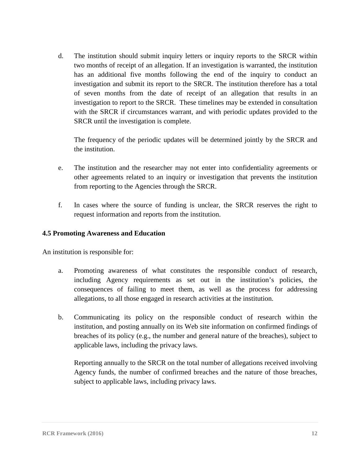d. The institution should submit inquiry letters or inquiry reports to the SRCR within two months of receipt of an allegation. If an investigation is warranted, the institution has an additional five months following the end of the inquiry to conduct an investigation and submit its report to the SRCR. The institution therefore has a total of seven months from the date of receipt of an allegation that results in an investigation to report to the SRCR. These timelines may be extended in consultation with the SRCR if circumstances warrant, and with periodic updates provided to the SRCR until the investigation is complete.

The frequency of the periodic updates will be determined jointly by the SRCR and the institution.

- e. The institution and the researcher may not enter into confidentiality agreements or other agreements related to an inquiry or investigation that prevents the institution from reporting to the Agencies through the SRCR.
- f. In cases where the source of funding is unclear, the SRCR reserves the right to request information and reports from the institution.

# **4.5 Promoting Awareness and Education**

An institution is responsible for:

- a. Promoting awareness of what constitutes the responsible conduct of research, including Agency requirements as set out in the institution's policies, the consequences of failing to meet them, as well as the process for addressing allegations, to all those engaged in research activities at the institution.
- b. Communicating its policy on the responsible conduct of research within the institution, and posting annually on its Web site information on confirmed findings of breaches of its policy (e.g., the number and general nature of the breaches), subject to applicable laws, including the privacy laws.

Reporting annually to the SRCR on the total number of allegations received involving Agency funds, the number of confirmed breaches and the nature of those breaches, subject to applicable laws, including privacy laws.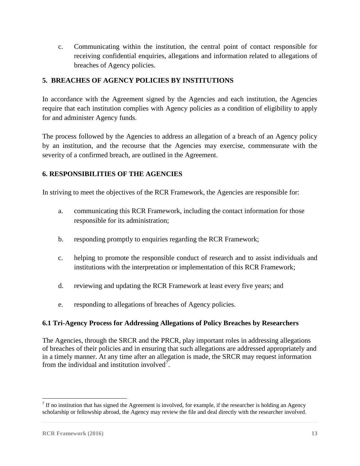c. Communicating within the institution, the central point of contact responsible for receiving confidential enquiries, allegations and information related to allegations of breaches of Agency policies.

# **5. BREACHES OF AGENCY POLICIES BY INSTITUTIONS**

In accordance with the Agreement signed by the Agencies and each institution, the Agencies require that each institution complies with Agency policies as a condition of eligibility to apply for and administer Agency funds.

The process followed by the Agencies to address an allegation of a breach of an Agency policy by an institution, and the recourse that the Agencies may exercise, commensurate with the severity of a confirmed breach, are outlined in the Agreement.

# **6. RESPONSIBILITIES OF THE AGENCIES**

In striving to meet the objectives of the RCR Framework, the Agencies are responsible for:

- a. communicating this RCR Framework, including the contact information for those responsible for its administration;
- b. responding promptly to enquiries regarding the RCR Framework;
- c. helping to promote the responsible conduct of research and to assist individuals and institutions with the interpretation or implementation of this RCR Framework;
- d. reviewing and updating the RCR Framework at least every five years; and
- e. responding to allegations of breaches of Agency policies.

# **6.1 Tri-Agency Process for Addressing Allegations of Policy Breaches by Researchers**

The Agencies, through the SRCR and the PRCR, play important roles in addressing allegations of breaches of their policies and in ensuring that such allegations are addressed appropriately and in a timely manner. At any time after an allegation is made, the SRCR may request information from the individual and institution involved<sup>[7](#page-16-0)</sup>.

<span id="page-16-0"></span> $<sup>7</sup>$  If no institution that has signed the Agreement is involved, for example, if the researcher is holding an Agency</sup> scholarship or fellowship abroad, the Agency may review the file and deal directly with the researcher involved.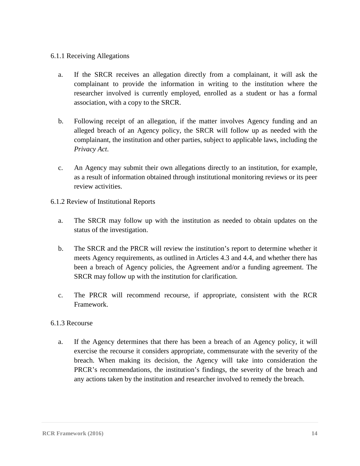#### 6.1.1 Receiving Allegations

- a. If the SRCR receives an allegation directly from a complainant, it will ask the complainant to provide the information in writing to the institution where the researcher involved is currently employed, enrolled as a student or has a formal association, with a copy to the SRCR.
- b. Following receipt of an allegation, if the matter involves Agency funding and an alleged breach of an Agency policy, the SRCR will follow up as needed with the complainant, the institution and other parties, subject to applicable laws, including the *Privacy Act*.
- c. An Agency may submit their own allegations directly to an institution, for example, as a result of information obtained through institutional monitoring reviews or its peer review activities.
- 6.1.2 Review of Institutional Reports
	- a. The SRCR may follow up with the institution as needed to obtain updates on the status of the investigation.
	- b. The SRCR and the PRCR will review the institution's report to determine whether it meets Agency requirements, as outlined in Articles 4.3 and 4.4, and whether there has been a breach of Agency policies, the Agreement and/or a funding agreement. The SRCR may follow up with the institution for clarification.
	- c. The PRCR will recommend recourse, if appropriate, consistent with the RCR Framework.

#### 6.1.3 Recourse

a. If the Agency determines that there has been a breach of an Agency policy, it will exercise the recourse it considers appropriate, commensurate with the severity of the breach. When making its decision, the Agency will take into consideration the PRCR's recommendations, the institution's findings, the severity of the breach and any actions taken by the institution and researcher involved to remedy the breach.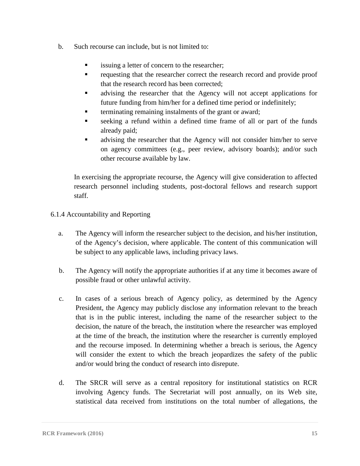- b. Such recourse can include, but is not limited to:
	- issuing a letter of concern to the researcher;
	- **requesting that the researcher correct the research record and provide proof** that the research record has been corrected;
	- advising the researcher that the Agency will not accept applications for future funding from him/her for a defined time period or indefinitely;
	- terminating remaining instalments of the grant or award;
	- seeking a refund within a defined time frame of all or part of the funds already paid;
	- advising the researcher that the Agency will not consider him/her to serve on agency committees (e.g., peer review, advisory boards); and/or such other recourse available by law.

In exercising the appropriate recourse, the Agency will give consideration to affected research personnel including students, post-doctoral fellows and research support staff.

6.1.4 Accountability and Reporting

- a. The Agency will inform the researcher subject to the decision, and his/her institution, of the Agency's decision, where applicable. The content of this communication will be subject to any applicable laws, including privacy laws.
- b. The Agency will notify the appropriate authorities if at any time it becomes aware of possible fraud or other unlawful activity.
- c. In cases of a serious breach of Agency policy, as determined by the Agency President, the Agency may publicly disclose any information relevant to the breach that is in the public interest, including the name of the researcher subject to the decision, the nature of the breach, the institution where the researcher was employed at the time of the breach, the institution where the researcher is currently employed and the recourse imposed. In determining whether a breach is serious, the Agency will consider the extent to which the breach jeopardizes the safety of the public and/or would bring the conduct of research into disrepute.
- d. The SRCR will serve as a central repository for institutional statistics on RCR involving Agency funds. The Secretariat will post annually, on its Web site, statistical data received from institutions on the total number of allegations, the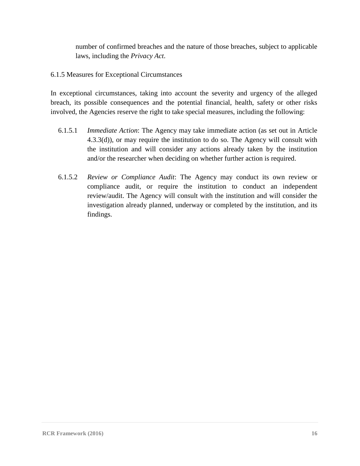number of confirmed breaches and the nature of those breaches, subject to applicable laws, including the *Privacy Act*.

6.1.5 Measures for Exceptional Circumstances

In exceptional circumstances, taking into account the severity and urgency of the alleged breach, its possible consequences and the potential financial, health, safety or other risks involved, the Agencies reserve the right to take special measures, including the following:

- 6.1.5.1 *Immediate Action*: The Agency may take immediate action (as set out in Article 4.3.3(d)), or may require the institution to do so. The Agency will consult with the institution and will consider any actions already taken by the institution and/or the researcher when deciding on whether further action is required.
- 6.1.5.2 *Review or Compliance Audit*: The Agency may conduct its own review or compliance audit, or require the institution to conduct an independent review/audit. The Agency will consult with the institution and will consider the investigation already planned, underway or completed by the institution, and its findings.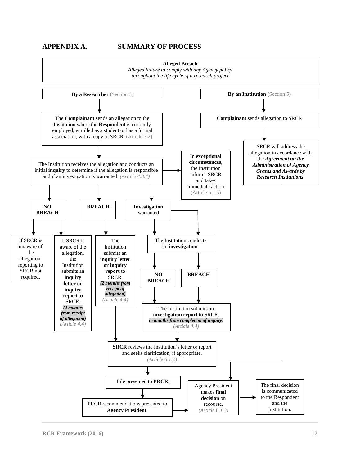#### **APPENDIX A. SUMMARY OF PROCESS**

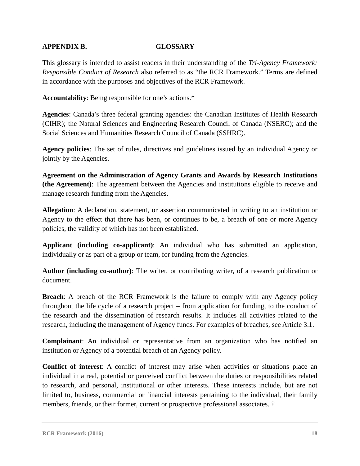# **APPENDIX B. GLOSSARY**

This glossary is intended to assist readers in their understanding of the *Tri-Agency Framework: Responsible Conduct of Research* also referred to as "the RCR Framework." Terms are defined in accordance with the purposes and objectives of the RCR Framework.

**Accountability**: Being responsible for one's actions.\*

**Agencies**: Canada's three federal granting agencies: the Canadian Institutes of Health Research (CIHR); the Natural Sciences and Engineering Research Council of Canada (NSERC); and the Social Sciences and Humanities Research Council of Canada (SSHRC).

**Agency policies**: The set of rules, directives and guidelines issued by an individual Agency or jointly by the Agencies.

**Agreement on the Administration of Agency Grants and Awards by Research Institutions (the Agreement)**: The agreement between the Agencies and institutions eligible to receive and manage research funding from the Agencies.

**Allegation**: A declaration, statement, or assertion communicated in writing to an institution or Agency to the effect that there has been, or continues to be, a breach of one or more Agency policies, the validity of which has not been established.

**Applicant (including co-applicant)**: An individual who has submitted an application, individually or as part of a group or team, for funding from the Agencies.

**Author (including co-author)**: The writer, or contributing writer, of a research publication or document.

**Breach**: A breach of the RCR Framework is the failure to comply with any Agency policy throughout the life cycle of a research project – from application for funding, to the conduct of the research and the dissemination of research results. It includes all activities related to the research, including the management of Agency funds. For examples of breaches, see Article 3.1.

**Complainant**: An individual or representative from an organization who has notified an institution or Agency of a potential breach of an Agency policy.

**Conflict of interest**: A conflict of interest may arise when activities or situations place an individual in a real, potential or perceived conflict between the duties or responsibilities related to research, and personal, institutional or other interests. These interests include, but are not limited to, business, commercial or financial interests pertaining to the individual, their family members, friends, or their former, current or prospective professional associates. †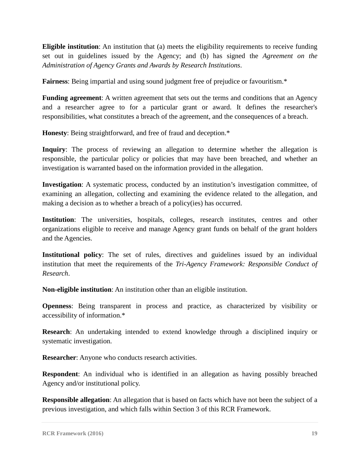**Eligible institution**: An institution that (a) meets the eligibility requirements to receive funding set out in guidelines issued by the Agency; and (b) has signed the *Agreement on the Administration of Agency Grants and Awards by Research Institutions*.

**Fairness:** Being impartial and using sound judgment free of prejudice or favouritism.\*

**Funding agreement:** A written agreement that sets out the terms and conditions that an Agency and a researcher agree to for a particular grant or award. It defines the researcher's responsibilities, what constitutes a breach of the agreement, and the consequences of a breach.

**Honesty**: Being straightforward, and free of fraud and deception.\*

**Inquiry**: The process of reviewing an allegation to determine whether the allegation is responsible, the particular policy or policies that may have been breached, and whether an investigation is warranted based on the information provided in the allegation.

**Investigation**: A systematic process, conducted by an institution's investigation committee, of examining an allegation, collecting and examining the evidence related to the allegation, and making a decision as to whether a breach of a policy(ies) has occurred.

Institution: The universities, hospitals, colleges, research institutes, centres and other organizations eligible to receive and manage Agency grant funds on behalf of the grant holders and the Agencies.

**Institutional policy**: The set of rules, directives and guidelines issued by an individual institution that meet the requirements of the *Tri-Agency Framework: Responsible Conduct of Research*.

**Non-eligible institution**: An institution other than an eligible institution.

**Openness**: Being transparent in process and practice, as characterized by visibility or accessibility of information.\*

**Research**: An undertaking intended to extend knowledge through a disciplined inquiry or systematic investigation.

**Researcher**: Anyone who conducts research activities.

**Respondent**: An individual who is identified in an allegation as having possibly breached Agency and/or institutional policy.

**Responsible allegation**: An allegation that is based on facts which have not been the subject of a previous investigation, and which falls within Section 3 of this RCR Framework.